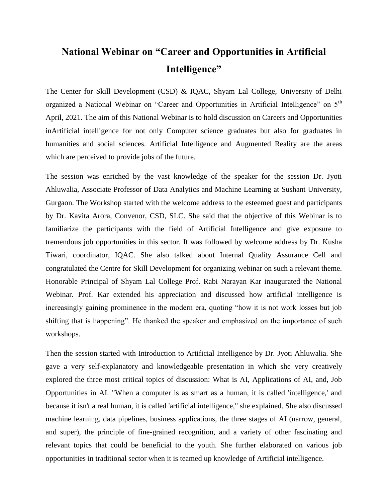## **National Webinar on "Career and Opportunities in Artificial Intelligence"**

The Center for Skill Development (CSD) & IQAC, Shyam Lal College, University of Delhi organized a National Webinar on "Career and Opportunities in Artificial Intelligence" on 5<sup>th</sup> April, 2021. The aim of this National Webinar is to hold discussion on Careers and Opportunities inArtificial intelligence for not only Computer science graduates but also for graduates in humanities and social sciences. Artificial Intelligence and Augmented Reality are the areas which are perceived to provide jobs of the future.

The session was enriched by the vast knowledge of the speaker for the session Dr. Jyoti Ahluwalia, Associate Professor of Data Analytics and Machine Learning at Sushant University, Gurgaon. The Workshop started with the welcome address to the esteemed guest and participants by Dr. Kavita Arora, Convenor, CSD, SLC. She said that the objective of this Webinar is to familiarize the participants with the field of Artificial Intelligence and give exposure to tremendous job opportunities in this sector. It was followed by welcome address by Dr. Kusha Tiwari, coordinator, IQAC. She also talked about Internal Quality Assurance Cell and congratulated the Centre for Skill Development for organizing webinar on such a relevant theme. Honorable Principal of Shyam Lal College Prof. Rabi Narayan Kar inaugurated the National Webinar. Prof. Kar extended his appreciation and discussed how artificial intelligence is increasingly gaining prominence in the modern era, quoting "how it is not work losses but job shifting that is happening". He thanked the speaker and emphasized on the importance of such workshops.

Then the session started with Introduction to Artificial Intelligence by Dr. Jyoti Ahluwalia. She gave a very self-explanatory and knowledgeable presentation in which she very creatively explored the three most critical topics of discussion: What is AI, Applications of AI, and, Job Opportunities in AI. "When a computer is as smart as a human, it is called 'intelligence,' and because it isn't a real human, it is called 'artificial intelligence," she explained. She also discussed machine learning, data pipelines, business applications, the three stages of AI (narrow, general, and super), the principle of fine-grained recognition, and a variety of other fascinating and relevant topics that could be beneficial to the youth. She further elaborated on various job opportunities in traditional sector when it is teamed up knowledge of Artificial intelligence.